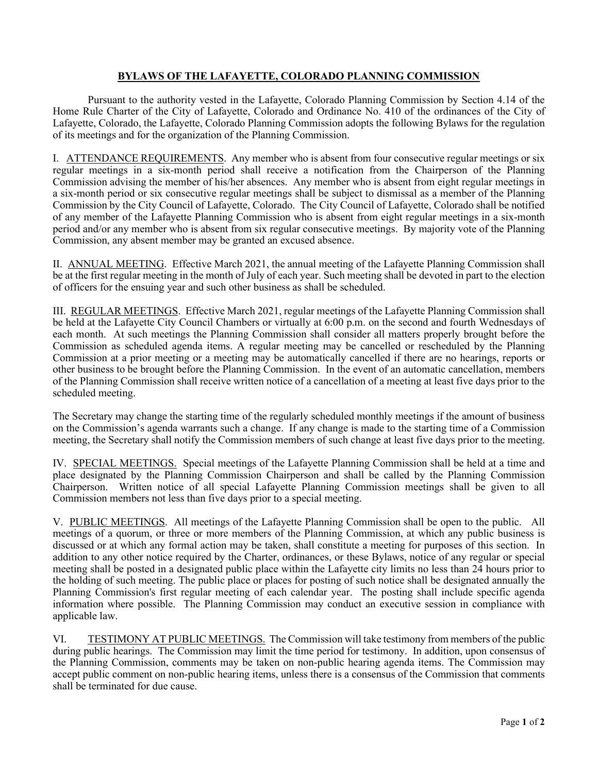## **BYLAWS OF THE LAFAYETTE, COLORADO PLANNING COMMISSION**

Pursuant to the authority vested in the Lafayette, Colorado Planning Commission by Section 4.14 of the Home Rule Charter of the City of Lafayette, Colorado and Ordinance No. 410 of the ordinances of the City of Lafayette, Colorado, the Lafayette, Colorado Planning Commission adopts the following Bylaws for the regulation of its meetings and for the organization of the Planning Commission.

I. ATTENDANCE REQUIREMENTS. Any member who is absent from four consecutive regular meetings or six regular meetings in a six-month period shall receive a notification from the Chairperson of the Planning Commission advising the member of his/her absences. Any member who is absent from eight regular meetings in a six-month period or six consecutive regular meetings shall be subject to dismissal as a member of the Planning Commission by the City Council of Lafayette, Colorado. The City Council of Lafayette, Colorado shall be notified of any member of the Lafayette Planning Commission who is absent from eight regular meetings in a six-month period and/or any member who is absent from six regular consecutive meetings. By majority vote of the Planning Commission, any absent member may be granted an excused absence.

II. ANNUAL MEETING. Effective March 2021, the annual meeting of the Lafayette Planning Commission shall be at the first regular meeting in the month of July of each year. Such meeting shall be devoted in part to the election of officers for the ensuing year and such other business as shall be scheduled.

III. REGULAR MEETINGS. Effective March 2021, regular meetings of the Lafayette Planning Commission shall be held at the Lafayette City Council Chambers or virtually at 6:00 p.m. on the second and fourth Wednesdays of each month. At such meetings the Planning Commission shall consider all matters properly brought before the Commission as scheduled agenda items. A regular meeting may be cancelled or rescheduled by the Planning Commission at a prior meeting or a meeting may be automatically cancelled if there are no hearings, reports or other business to be brought before the Planning Commission. In the event of an automatic cancellation, members of the Planning Commission shall receive written notice of a cancellation of a meeting at least five days prior to the scheduled meeting.

The Secretary may change the starting time of the regularly scheduled monthly meetings if the amount of business on the Commission's agenda warrants such a change. If any change is made to the starting time of a Commission meeting, the Secretary shall notify the Commission members of such change at least five days prior to the meeting.

IV. SPECIAL MEETINGS. Special meetings of the Lafayette Planning Commission shall be held at a time and place designated by the Planning Commission Chairperson and shall be called by the Planning Commission Chairperson. Written notice of all special Lafayette Planning Commission meetings shall be given to all Commission members not less than five days prior to a special meeting.

V. PUBLIC MEETINGS. All meetings of the Lafayette Planning Commission shall be open to the public. All meetings of a quorum, or three or more members of the Planning Commission, at which any public business is discussed or at which any formal action may be taken, shall constitute a meeting for purposes of this section. In addition to any other notice required by the Charter, ordinances, or these Bylaws, notice of any regular or special meeting shall be posted in a designated public place within the Lafayette city limits no less than 24 hours prior to the holding of such meeting. The public place or places for posting of such notice shall be designated annually the Planning Commission's first regular meeting of each calendar year. The posting shall include specific agenda information where possible. The Planning Commission may conduct an executive session in compliance with applicable law.

VI. TESTIMONY AT PUBLIC MEETINGS. The Commission will take testimony from members of the public during public hearings. The Commission may limit the time period for testimony. In addition, upon consensus of the Planning Commission, comments may be taken on non-public hearing agenda items. The Commission may accept public comment on non-public hearing items, unless there is a consensus of the Commission that comments shall be terminated for due cause.